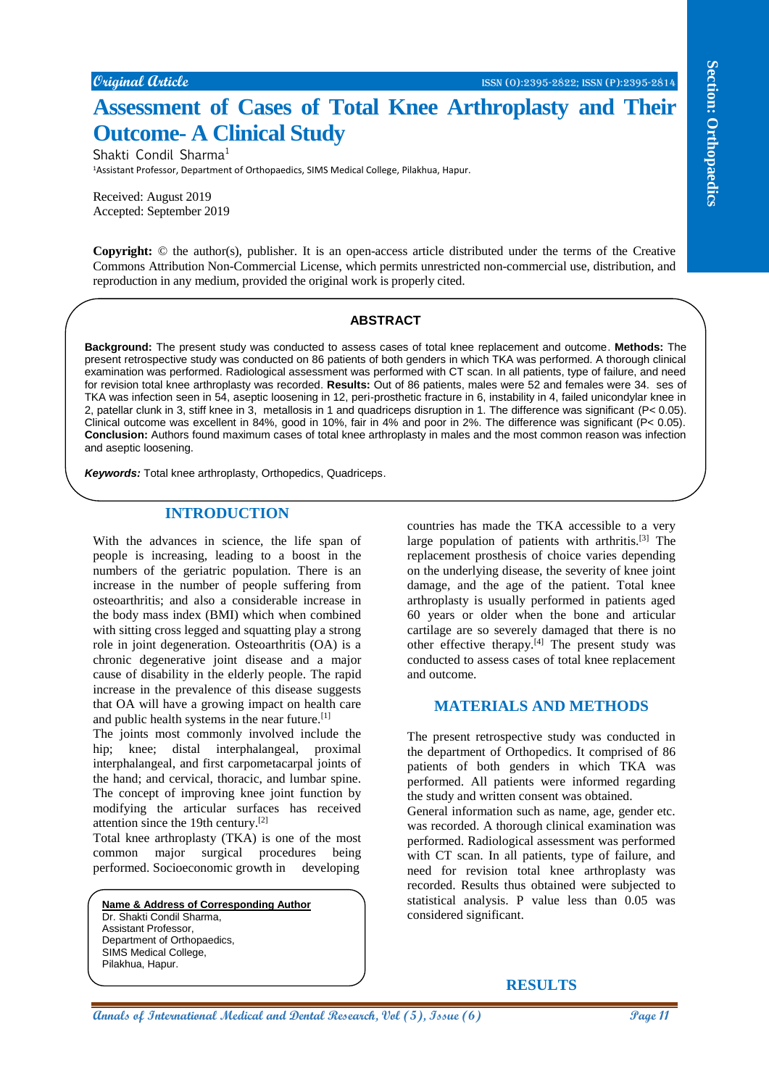**Original Article** ISSN (O):2395-2822; ISSN (P):2395-2814

# **Assessment of Cases of Total Knee Arthroplasty and Their Outcome- A Clinical Study**

Shakti Condil Sharma<sup>1</sup>

<sup>1</sup>Assistant Professor, Department of Orthopaedics, SIMS Medical College, Pilakhua, Hapur.

Received: August 2019 Accepted: September 2019

**Copyright:** © the author(s), publisher. It is an open-access article distributed under the terms of the Creative Commons Attribution Non-Commercial License, which permits unrestricted non-commercial use, distribution, and reproduction in any medium, provided the original work is properly cited.

#### **ABSTRACT**

**Contain dentise and Conservation** of **Conservation Conservation And Conservation Conservation Conservation Conservation Conservation** Conservation Conservation Conservation Conservation Conservation Conserva **Background:** The present study was conducted to assess cases of total knee replacement and outcome. **Methods:** The present retrospective study was conducted on 86 patients of both genders in which TKA was performed. A thorough clinical examination was performed. Radiological assessment was performed with CT scan. In all patients, type of failure, and need for revision total knee arthroplasty was recorded. **Results:** Out of 86 patients, males were 52 and females were 34. ses of TKA was infection seen in 54, aseptic loosening in 12, peri-prosthetic fracture in 6, instability in 4, failed unicondylar knee in 2, patellar clunk in 3, stiff knee in 3, metallosis in 1 and quadriceps disruption in 1. The difference was significant (P< 0.05). Clinical outcome was excellent in 84%, good in 10%, fair in 4% and poor in 2%. The difference was significant (P< 0.05). **Conclusion:** Authors found maximum cases of total knee arthroplasty in males and the most common reason was infection and aseptic loosening.

*Keywords:* Total knee arthroplasty, Orthopedics, Quadriceps.

### **INTRODUCTION**

With the advances in science, the life span of people is increasing, leading to a boost in the numbers of the geriatric population. There is an increase in the number of people suffering from osteoarthritis; and also a considerable increase in the body mass index (BMI) which when combined with sitting cross legged and squatting play a strong role in joint degeneration. Osteoarthritis (OA) is a chronic degenerative joint disease and a major cause of disability in the elderly people. The rapid increase in the prevalence of this disease suggests that OA will have a growing impact on health care and public health systems in the near future.<sup>[1]</sup>

The joints most commonly involved include the hip; knee; distal interphalangeal, proximal interphalangeal, and first carpometacarpal joints of the hand; and cervical, thoracic, and lumbar spine. The concept of improving knee joint function by modifying the articular surfaces has received attention since the 19th century.[2]

Total knee arthroplasty (TKA) is one of the most common major surgical procedures being performed. Socioeconomic growth in developing

**Name & Address of Corresponding Author** Dr. Shakti Condil Sharma, Assistant Professor, Department of Orthopaedics, SIMS Medical College, Pilakhua, Hapur.

countries has made the TKA accessible to a very large population of patients with arthritis. $[3]$  The replacement prosthesis of choice varies depending on the underlying disease, the severity of knee joint damage, and the age of the patient. Total knee arthroplasty is usually performed in patients aged 60 years or older when the bone and articular cartilage are so severely damaged that there is no other effective therapy.[4] The present study was conducted to assess cases of total knee replacement and outcome.

## **MATERIALS AND METHODS**

The present retrospective study was conducted in the department of Orthopedics. It comprised of 86 patients of both genders in which TKA was performed. All patients were informed regarding the study and written consent was obtained.

General information such as name, age, gender etc. was recorded. A thorough clinical examination was performed. Radiological assessment was performed with CT scan. In all patients, type of failure, and need for revision total knee arthroplasty was recorded. Results thus obtained were subjected to statistical analysis. P value less than 0.05 was considered significant.

## **RESULTS**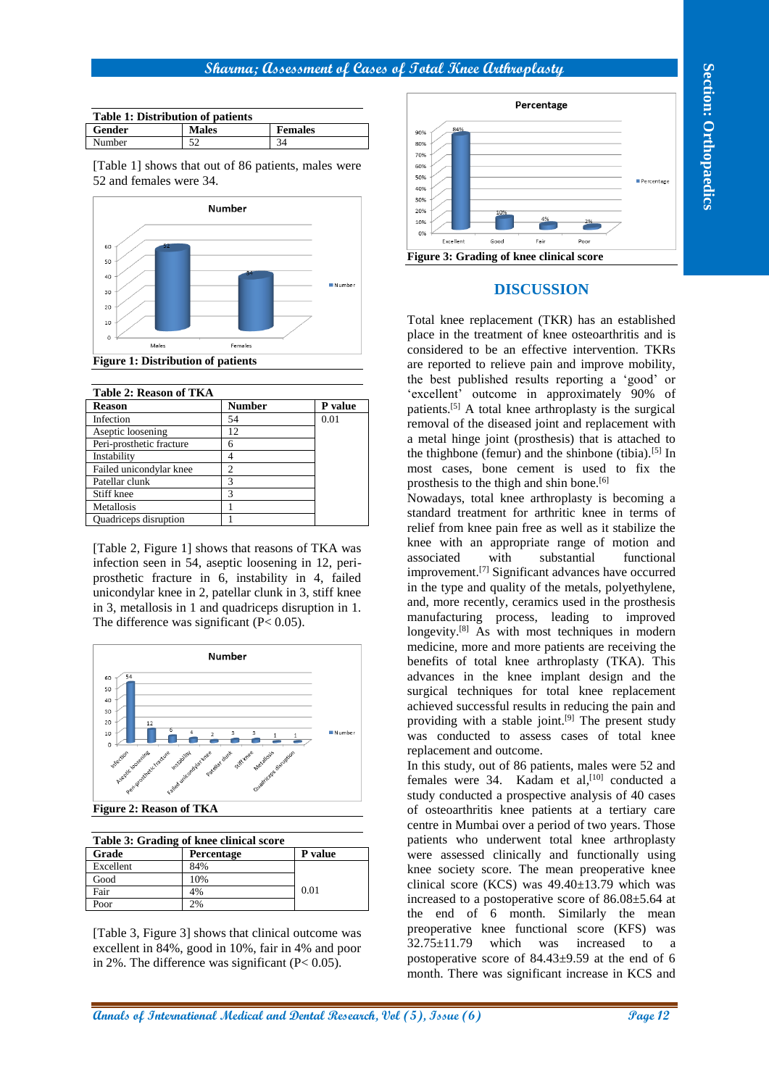#### **Sharma; Assessment of Cases of Total Knee Arthroplasty**

| <b>Table 1: Distribution of patients</b> |              |                |  |  |
|------------------------------------------|--------------|----------------|--|--|
| Gender                                   | <b>Males</b> | <b>Females</b> |  |  |
| <b>Number</b>                            | 52           | 34             |  |  |

[Table 1] shows that out of 86 patients, males were 52 and females were 34.



| Table 2: Reason of TKA   |                |         |
|--------------------------|----------------|---------|
| <b>Reason</b>            | <b>Number</b>  | P value |
| Infection                | 54             | 0.01    |
| Aseptic loosening        | 12             |         |
| Peri-prosthetic fracture | 6              |         |
| Instability              | 4              |         |
| Failed unicondylar knee  | $\mathfrak{D}$ |         |
| Patellar clunk           | 3              |         |
| Stiff knee               | 3              |         |
| Metallosis               |                |         |
| Quadriceps disruption    |                |         |

[Table 2, Figure 1] shows that reasons of TKA was infection seen in 54, aseptic loosening in 12, periprosthetic fracture in 6, instability in 4, failed unicondylar knee in 2, patellar clunk in 3, stiff knee in 3, metallosis in 1 and quadriceps disruption in 1. The difference was significant  $(P< 0.05)$ .



**Figure 2: Reason of TKA**

| Table 3: Grading of knee clinical score |                   |         |  |
|-----------------------------------------|-------------------|---------|--|
| Grade                                   | <b>Percentage</b> | P value |  |
| Excellent                               | 84%               |         |  |
| Good                                    | 10%               |         |  |
| Fair                                    | 4%                | 0.01    |  |
| Poor                                    |                   |         |  |

[Table 3, Figure 3] shows that clinical outcome was excellent in 84%, good in 10%, fair in 4% and poor in 2%. The difference was significant (P< 0.05).



#### **DISCUSSION**

Total knee replacement (TKR) has an established place in the treatment of knee osteoarthritis and is considered to be an effective intervention. TKRs are reported to relieve pain and improve mobility, the best published results reporting a 'good' or 'excellent' outcome in approximately 90% of patients.[5] A total knee arthroplasty is the surgical removal of the diseased joint and replacement with a metal hinge joint (prosthesis) that is attached to the thighbone (femur) and the shinbone (tibia).<sup>[5]</sup> In most cases, bone cement is used to fix the prosthesis to the thigh and shin bone.<sup>[6]</sup>

**Annals of Contras (Exceptional Systems**) **Process of Page 12 Page 12 Page 12 Page 12 Page 12 Page 12 Page 12 Page 12 Page 12 Page 12 Page 12 Page 12 Page 12 Page 12 Page 12 Page 12 Page 12** Nowadays, total knee arthroplasty is becoming a standard treatment for arthritic knee in terms of relief from knee pain free as well as it stabilize the knee with an appropriate range of motion and associated with substantial functional improvement.[7] Significant advances have occurred in the type and quality of the metals, polyethylene, and, more recently, ceramics used in the prosthesis manufacturing process, leading to improved longevity.<sup>[8]</sup> As with most techniques in modern medicine, more and more patients are receiving the benefits of total knee arthroplasty (TKA). This advances in the knee implant design and the surgical techniques for total knee replacement achieved successful results in reducing the pain and providing with a stable joint.<sup>[9]</sup> The present study was conducted to assess cases of total knee replacement and outcome.

In this study, out of 86 patients, males were 52 and females were 34. Kadam et al,<sup>[10]</sup> conducted a study conducted a prospective analysis of 40 cases of osteoarthritis knee patients at a tertiary care centre in Mumbai over a period of two years. Those patients who underwent total knee arthroplasty were assessed clinically and functionally using knee society score. The mean preoperative knee clinical score (KCS) was 49.40±13.79 which was increased to a postoperative score of 86.08±5.64 at the end of 6 month. Similarly the mean preoperative knee functional score (KFS) was 32.75±11.79 which was increased to a postoperative score of 84.43±9.59 at the end of 6 month. There was significant increase in KCS and